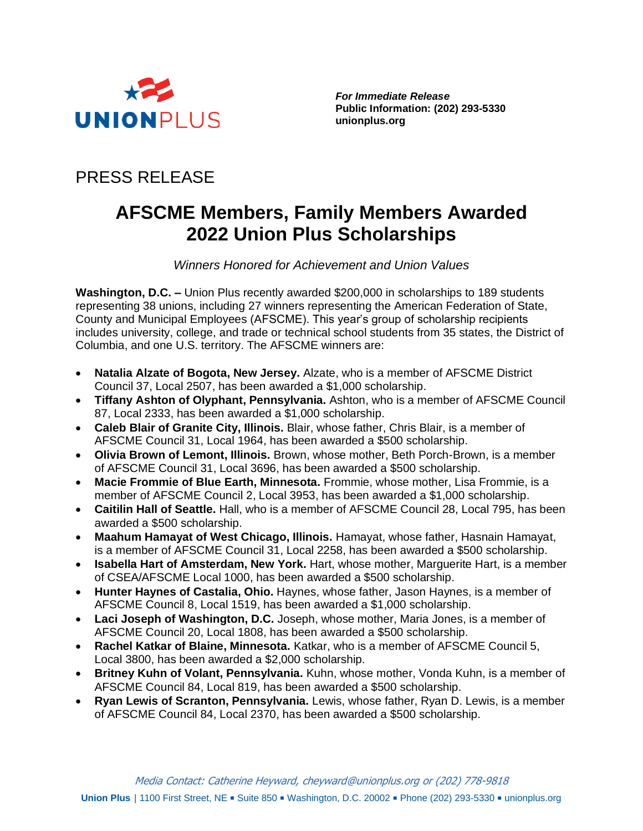

*For Immediate Release* **Public Information: (202) 293-5330 unionplus.org**

## PRESS RELEASE

# **AFSCME Members, Family Members Awarded 2022 Union Plus Scholarships**

*Winners Honored for Achievement and Union Values*

**Washington, D.C. –** Union Plus recently awarded \$200,000 in scholarships to 189 students representing 38 unions, including 27 winners representing the American Federation of State, County and Municipal Employees (AFSCME). This year's group of scholarship recipients includes university, college, and trade or technical school students from 35 states, the District of Columbia, and one U.S. territory. The AFSCME winners are:

- **Natalia Alzate of Bogota, New Jersey.** Alzate, who is a member of AFSCME District Council 37, Local 2507, has been awarded a \$1,000 scholarship.
- **Tiffany Ashton of Olyphant, Pennsylvania.** Ashton, who is a member of AFSCME Council 87, Local 2333, has been awarded a \$1,000 scholarship.
- **Caleb Blair of Granite City, Illinois.** Blair, whose father, Chris Blair, is a member of AFSCME Council 31, Local 1964, has been awarded a \$500 scholarship.
- **Olivia Brown of Lemont, Illinois.** Brown, whose mother, Beth Porch-Brown, is a member of AFSCME Council 31, Local 3696, has been awarded a \$500 scholarship.
- **Macie Frommie of Blue Earth, Minnesota.** Frommie, whose mother, Lisa Frommie, is a member of AFSCME Council 2, Local 3953, has been awarded a \$1,000 scholarship.
- **Caitilin Hall of Seattle.** Hall, who is a member of AFSCME Council 28, Local 795, has been awarded a \$500 scholarship.
- **Maahum Hamayat of West Chicago, Illinois.** Hamayat, whose father, Hasnain Hamayat, is a member of AFSCME Council 31, Local 2258, has been awarded a \$500 scholarship.
- **Isabella Hart of Amsterdam, New York.** Hart, whose mother, Marguerite Hart, is a member of CSEA/AFSCME Local 1000, has been awarded a \$500 scholarship.
- **Hunter Haynes of Castalia, Ohio.** Haynes, whose father, Jason Haynes, is a member of AFSCME Council 8, Local 1519, has been awarded a \$1,000 scholarship.
- **Laci Joseph of Washington, D.C.** Joseph, whose mother, Maria Jones, is a member of AFSCME Council 20, Local 1808, has been awarded a \$500 scholarship.
- **Rachel Katkar of Blaine, Minnesota.** Katkar, who is a member of AFSCME Council 5, Local 3800, has been awarded a \$2,000 scholarship.
- **Britney Kuhn of Volant, Pennsylvania.** Kuhn, whose mother, Vonda Kuhn, is a member of AFSCME Council 84, Local 819, has been awarded a \$500 scholarship.
- **Ryan Lewis of Scranton, Pennsylvania.** Lewis, whose father, Ryan D. Lewis, is a member of AFSCME Council 84, Local 2370, has been awarded a \$500 scholarship.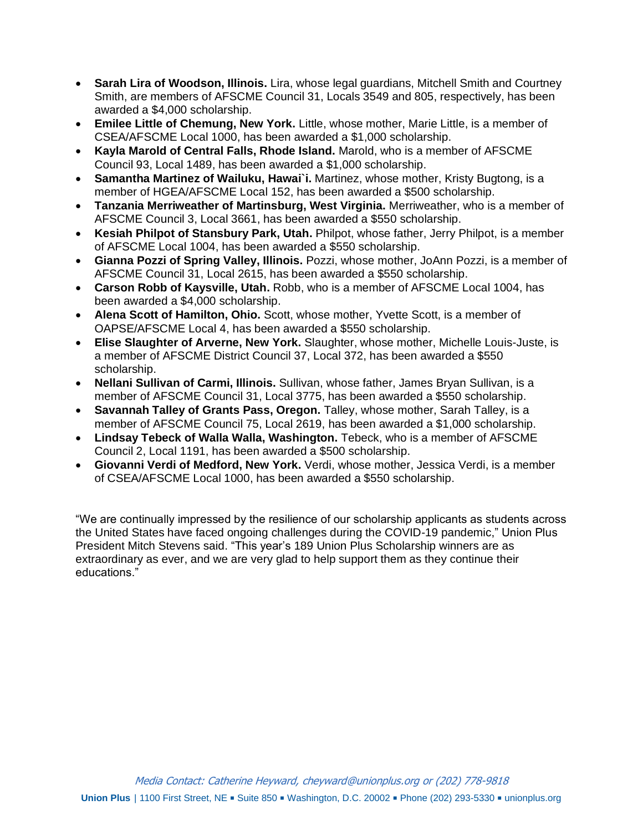- **Sarah Lira of Woodson, Illinois.** Lira, whose legal guardians, Mitchell Smith and Courtney Smith, are members of AFSCME Council 31, Locals 3549 and 805, respectively, has been awarded a \$4,000 scholarship.
- **Emilee Little of Chemung, New York.** Little, whose mother, Marie Little, is a member of CSEA/AFSCME Local 1000, has been awarded a \$1,000 scholarship.
- **Kayla Marold of Central Falls, Rhode Island.** Marold, who is a member of AFSCME Council 93, Local 1489, has been awarded a \$1,000 scholarship.
- **Samantha Martinez of Wailuku, Hawai`i.** Martinez, whose mother, Kristy Bugtong, is a member of HGEA/AFSCME Local 152, has been awarded a \$500 scholarship.
- **Tanzania Merriweather of Martinsburg, West Virginia.** Merriweather, who is a member of AFSCME Council 3, Local 3661, has been awarded a \$550 scholarship.
- **Kesiah Philpot of Stansbury Park, Utah.** Philpot, whose father, Jerry Philpot, is a member of AFSCME Local 1004, has been awarded a \$550 scholarship.
- **Gianna Pozzi of Spring Valley, Illinois.** Pozzi, whose mother, JoAnn Pozzi, is a member of AFSCME Council 31, Local 2615, has been awarded a \$550 scholarship.
- **Carson Robb of Kaysville, Utah.** Robb, who is a member of AFSCME Local 1004, has been awarded a \$4,000 scholarship.
- **Alena Scott of Hamilton, Ohio.** Scott, whose mother, Yvette Scott, is a member of OAPSE/AFSCME Local 4, has been awarded a \$550 scholarship.
- **Elise Slaughter of Arverne, New York.** Slaughter, whose mother, Michelle Louis-Juste, is a member of AFSCME District Council 37, Local 372, has been awarded a \$550 scholarship.
- **Nellani Sullivan of Carmi, Illinois.** Sullivan, whose father, James Bryan Sullivan, is a member of AFSCME Council 31, Local 3775, has been awarded a \$550 scholarship.
- **Savannah Talley of Grants Pass, Oregon.** Talley, whose mother, Sarah Talley, is a member of AFSCME Council 75, Local 2619, has been awarded a \$1,000 scholarship.
- **Lindsay Tebeck of Walla Walla, Washington.** Tebeck, who is a member of AFSCME Council 2, Local 1191, has been awarded a \$500 scholarship.
- **Giovanni Verdi of Medford, New York.** Verdi, whose mother, Jessica Verdi, is a member of CSEA/AFSCME Local 1000, has been awarded a \$550 scholarship.

"We are continually impressed by the resilience of our scholarship applicants as students across the United States have faced ongoing challenges during the COVID-19 pandemic," Union Plus President Mitch Stevens said. "This year's 189 Union Plus Scholarship winners are as extraordinary as ever, and we are very glad to help support them as they continue their educations."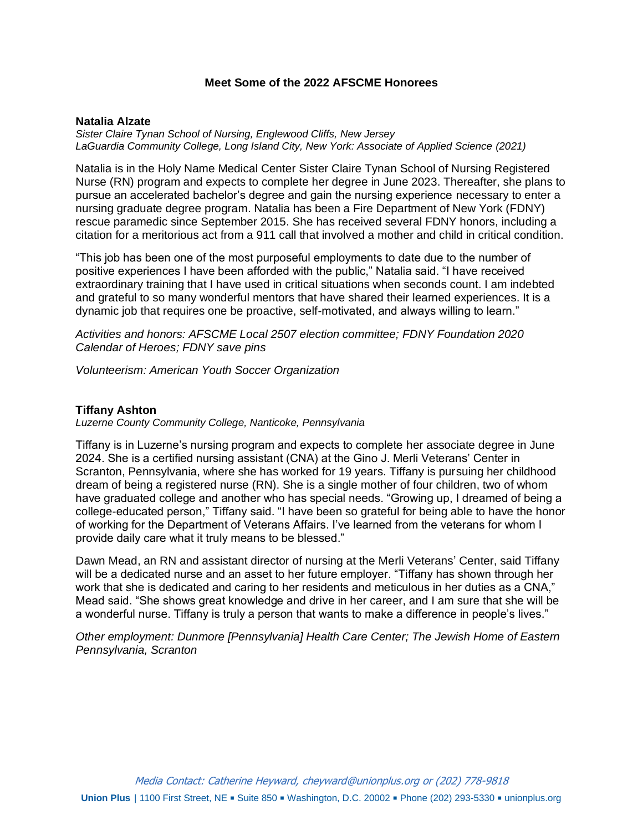## **Meet Some of the 2022 AFSCME Honorees**

#### **Natalia Alzate**

*Sister Claire Tynan School of Nursing, Englewood Cliffs, New Jersey LaGuardia Community College, Long Island City, New York: Associate of Applied Science (2021)*

Natalia is in the Holy Name Medical Center Sister Claire Tynan School of Nursing Registered Nurse (RN) program and expects to complete her degree in June 2023. Thereafter, she plans to pursue an accelerated bachelor's degree and gain the nursing experience necessary to enter a nursing graduate degree program. Natalia has been a Fire Department of New York (FDNY) rescue paramedic since September 2015. She has received several FDNY honors, including a citation for a meritorious act from a 911 call that involved a mother and child in critical condition.

"This job has been one of the most purposeful employments to date due to the number of positive experiences I have been afforded with the public," Natalia said. "I have received extraordinary training that I have used in critical situations when seconds count. I am indebted and grateful to so many wonderful mentors that have shared their learned experiences. It is a dynamic job that requires one be proactive, self-motivated, and always willing to learn."

*Activities and honors: AFSCME Local 2507 election committee; FDNY Foundation 2020 Calendar of Heroes; FDNY save pins*

*Volunteerism: American Youth Soccer Organization*

#### **Tiffany Ashton**

*Luzerne County Community College, Nanticoke, Pennsylvania*

Tiffany is in Luzerne's nursing program and expects to complete her associate degree in June 2024. She is a certified nursing assistant (CNA) at the Gino J. Merli Veterans' Center in Scranton, Pennsylvania, where she has worked for 19 years. Tiffany is pursuing her childhood dream of being a registered nurse (RN). She is a single mother of four children, two of whom have graduated college and another who has special needs. "Growing up, I dreamed of being a college-educated person," Tiffany said. "I have been so grateful for being able to have the honor of working for the Department of Veterans Affairs. I've learned from the veterans for whom I provide daily care what it truly means to be blessed."

Dawn Mead, an RN and assistant director of nursing at the Merli Veterans' Center, said Tiffany will be a dedicated nurse and an asset to her future employer. "Tiffany has shown through her work that she is dedicated and caring to her residents and meticulous in her duties as a CNA," Mead said. "She shows great knowledge and drive in her career, and I am sure that she will be a wonderful nurse. Tiffany is truly a person that wants to make a difference in people's lives."

*Other employment: Dunmore [Pennsylvania] Health Care Center; The Jewish Home of Eastern Pennsylvania, Scranton*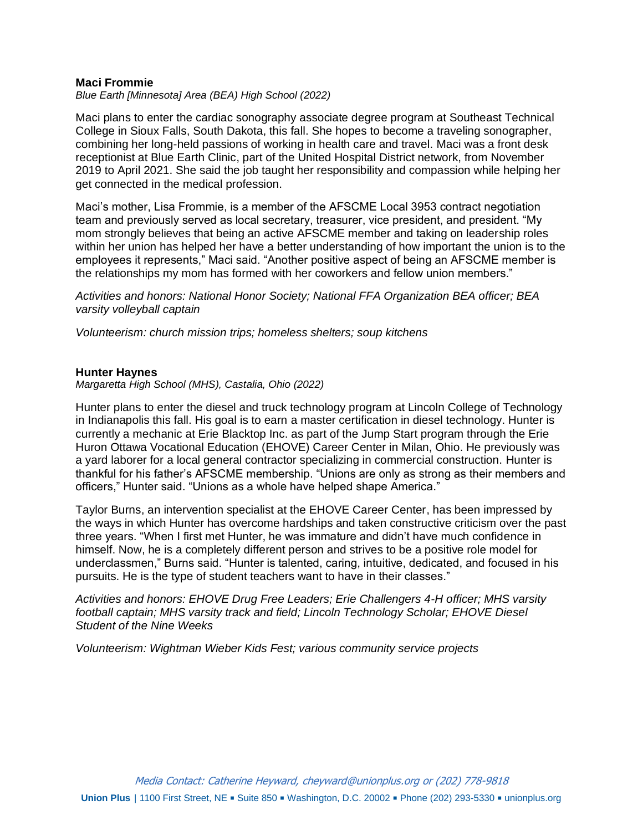## **Maci Frommie**

*Blue Earth [Minnesota] Area (BEA) High School (2022)*

Maci plans to enter the cardiac sonography associate degree program at Southeast Technical College in Sioux Falls, South Dakota, this fall. She hopes to become a traveling sonographer, combining her long-held passions of working in health care and travel. Maci was a front desk receptionist at Blue Earth Clinic, part of the United Hospital District network, from November 2019 to April 2021. She said the job taught her responsibility and compassion while helping her get connected in the medical profession.

Maci's mother, Lisa Frommie, is a member of the AFSCME Local 3953 contract negotiation team and previously served as local secretary, treasurer, vice president, and president. "My mom strongly believes that being an active AFSCME member and taking on leadership roles within her union has helped her have a better understanding of how important the union is to the employees it represents," Maci said. "Another positive aspect of being an AFSCME member is the relationships my mom has formed with her coworkers and fellow union members."

*Activities and honors: National Honor Society; National FFA Organization BEA officer; BEA varsity volleyball captain*

*Volunteerism: church mission trips; homeless shelters; soup kitchens*

## **Hunter Haynes**

*Margaretta High School (MHS), Castalia, Ohio (2022)*

Hunter plans to enter the diesel and truck technology program at Lincoln College of Technology in Indianapolis this fall. His goal is to earn a master certification in diesel technology. Hunter is currently a mechanic at Erie Blacktop Inc. as part of the Jump Start program through the Erie Huron Ottawa Vocational Education (EHOVE) Career Center in Milan, Ohio. He previously was a yard laborer for a local general contractor specializing in commercial construction. Hunter is thankful for his father's AFSCME membership. "Unions are only as strong as their members and officers," Hunter said. "Unions as a whole have helped shape America."

Taylor Burns, an intervention specialist at the EHOVE Career Center, has been impressed by the ways in which Hunter has overcome hardships and taken constructive criticism over the past three years. "When I first met Hunter, he was immature and didn't have much confidence in himself. Now, he is a completely different person and strives to be a positive role model for underclassmen," Burns said. "Hunter is talented, caring, intuitive, dedicated, and focused in his pursuits. He is the type of student teachers want to have in their classes."

*Activities and honors: EHOVE Drug Free Leaders; Erie Challengers 4-H officer; MHS varsity football captain; MHS varsity track and field; Lincoln Technology Scholar; EHOVE Diesel Student of the Nine Weeks*

*Volunteerism: Wightman Wieber Kids Fest; various community service projects*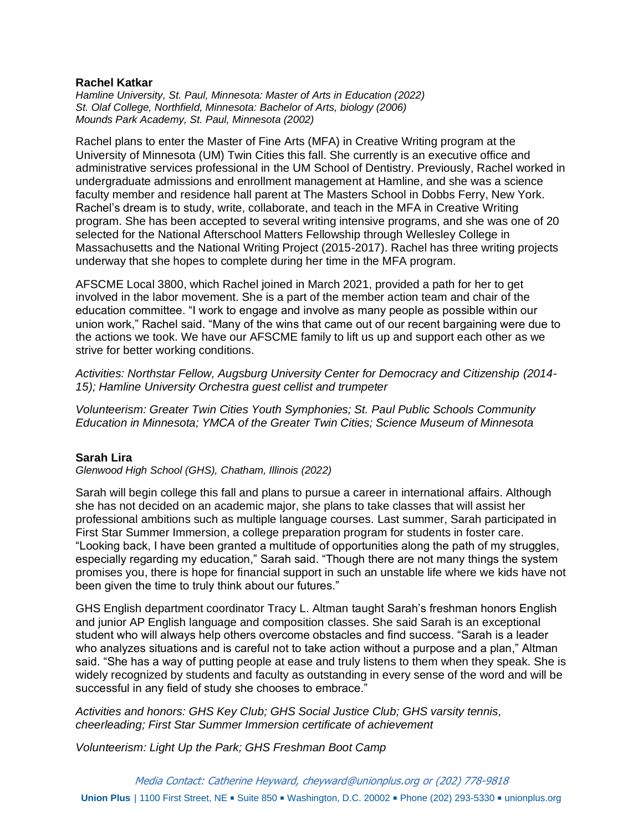## **Rachel Katkar**

*Hamline University, St. Paul, Minnesota: Master of Arts in Education (2022) St. Olaf College, Northfield, Minnesota: Bachelor of Arts, biology (2006) Mounds Park Academy, St. Paul, Minnesota (2002)*

Rachel plans to enter the Master of Fine Arts (MFA) in Creative Writing program at the University of Minnesota (UM) Twin Cities this fall. She currently is an executive office and administrative services professional in the UM School of Dentistry. Previously, Rachel worked in undergraduate admissions and enrollment management at Hamline, and she was a science faculty member and residence hall parent at The Masters School in Dobbs Ferry, New York. Rachel's dream is to study, write, collaborate, and teach in the MFA in Creative Writing program. She has been accepted to several writing intensive programs, and she was one of 20 selected for the National Afterschool Matters Fellowship through Wellesley College in Massachusetts and the National Writing Project (2015-2017). Rachel has three writing projects underway that she hopes to complete during her time in the MFA program.

AFSCME Local 3800, which Rachel joined in March 2021, provided a path for her to get involved in the labor movement. She is a part of the member action team and chair of the education committee. "I work to engage and involve as many people as possible within our union work," Rachel said. "Many of the wins that came out of our recent bargaining were due to the actions we took. We have our AFSCME family to lift us up and support each other as we strive for better working conditions.

*Activities: Northstar Fellow, Augsburg University Center for Democracy and Citizenship (2014- 15); Hamline University Orchestra guest cellist and trumpeter*

*Volunteerism: Greater Twin Cities Youth Symphonies; St. Paul Public Schools Community Education in Minnesota; YMCA of the Greater Twin Cities; Science Museum of Minnesota*

## **Sarah Lira**

*Glenwood High School (GHS), Chatham, Illinois (2022)*

Sarah will begin college this fall and plans to pursue a career in international affairs. Although she has not decided on an academic major, she plans to take classes that will assist her professional ambitions such as multiple language courses. Last summer, Sarah participated in First Star Summer Immersion, a college preparation program for students in foster care. "Looking back, I have been granted a multitude of opportunities along the path of my struggles, especially regarding my education," Sarah said. "Though there are not many things the system promises you, there is hope for financial support in such an unstable life where we kids have not been given the time to truly think about our futures."

GHS English department coordinator Tracy L. Altman taught Sarah's freshman honors English and junior AP English language and composition classes. She said Sarah is an exceptional student who will always help others overcome obstacles and find success. "Sarah is a leader who analyzes situations and is careful not to take action without a purpose and a plan," Altman said. "She has a way of putting people at ease and truly listens to them when they speak. She is widely recognized by students and faculty as outstanding in every sense of the word and will be successful in any field of study she chooses to embrace."

*Activities and honors: GHS Key Club; GHS Social Justice Club; GHS varsity tennis, cheerleading; First Star Summer Immersion certificate of achievement* 

*Volunteerism: Light Up the Park; GHS Freshman Boot Camp*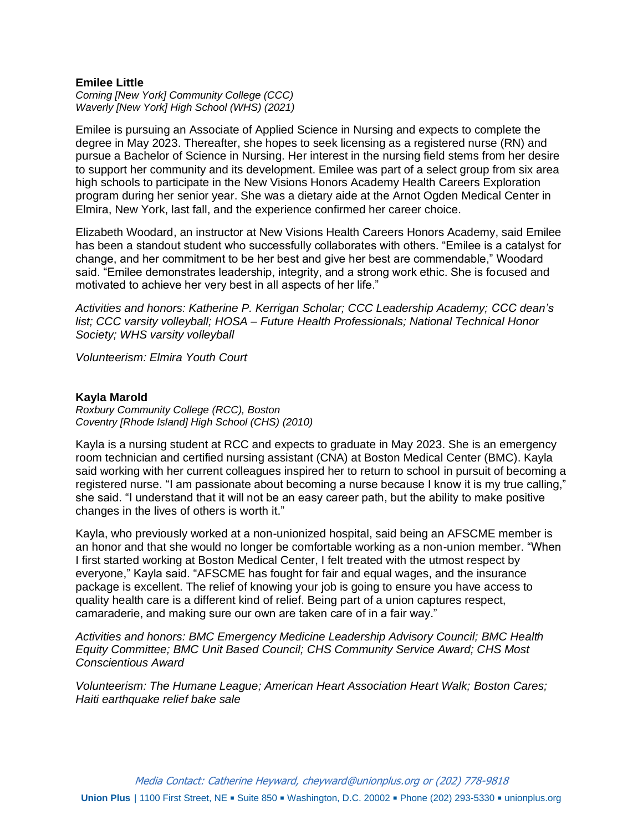## **Emilee Little**

*Corning [New York] Community College (CCC) Waverly [New York] High School (WHS) (2021)*

Emilee is pursuing an Associate of Applied Science in Nursing and expects to complete the degree in May 2023. Thereafter, she hopes to seek licensing as a registered nurse (RN) and pursue a Bachelor of Science in Nursing. Her interest in the nursing field stems from her desire to support her community and its development. Emilee was part of a select group from six area high schools to participate in the New Visions Honors Academy Health Careers Exploration program during her senior year. She was a dietary aide at the Arnot Ogden Medical Center in Elmira, New York, last fall, and the experience confirmed her career choice.

Elizabeth Woodard, an instructor at New Visions Health Careers Honors Academy, said Emilee has been a standout student who successfully collaborates with others. "Emilee is a catalyst for change, and her commitment to be her best and give her best are commendable," Woodard said. "Emilee demonstrates leadership, integrity, and a strong work ethic. She is focused and motivated to achieve her very best in all aspects of her life."

*Activities and honors: Katherine P. Kerrigan Scholar; CCC Leadership Academy; CCC dean's list; CCC varsity volleyball; HOSA – Future Health Professionals; National Technical Honor Society; WHS varsity volleyball*

*Volunteerism: Elmira Youth Court*

## **Kayla Marold**

*Roxbury Community College (RCC), Boston Coventry [Rhode Island] High School (CHS) (2010)*

Kayla is a nursing student at RCC and expects to graduate in May 2023. She is an emergency room technician and certified nursing assistant (CNA) at Boston Medical Center (BMC). Kayla said working with her current colleagues inspired her to return to school in pursuit of becoming a registered nurse. "I am passionate about becoming a nurse because I know it is my true calling," she said. "I understand that it will not be an easy career path, but the ability to make positive changes in the lives of others is worth it."

Kayla, who previously worked at a non-unionized hospital, said being an AFSCME member is an honor and that she would no longer be comfortable working as a non-union member. "When I first started working at Boston Medical Center, I felt treated with the utmost respect by everyone," Kayla said. "AFSCME has fought for fair and equal wages, and the insurance package is excellent. The relief of knowing your job is going to ensure you have access to quality health care is a different kind of relief. Being part of a union captures respect, camaraderie, and making sure our own are taken care of in a fair way."

*Activities and honors: BMC Emergency Medicine Leadership Advisory Council; BMC Health Equity Committee; BMC Unit Based Council; CHS Community Service Award; CHS Most Conscientious Award*

*Volunteerism: The Humane League; American Heart Association Heart Walk; Boston Cares; Haiti earthquake relief bake sale*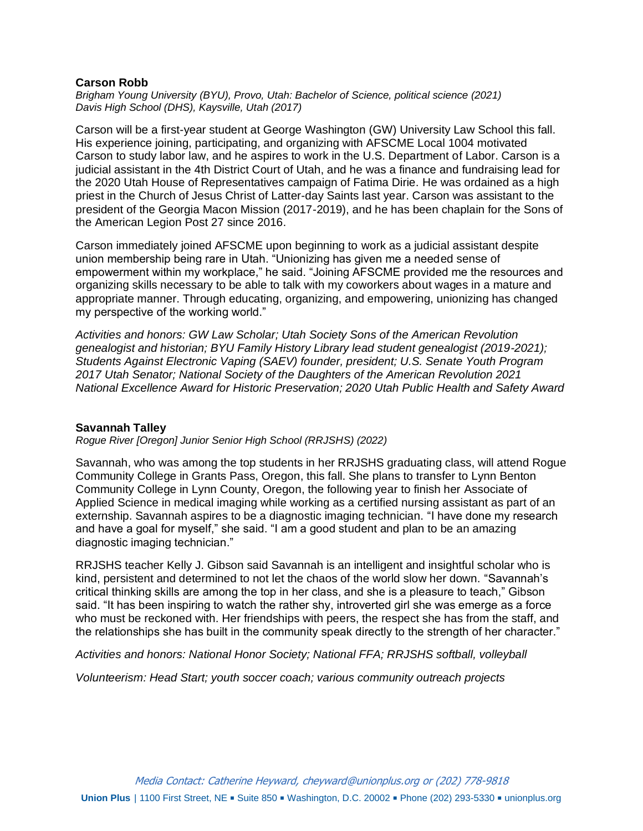## **Carson Robb**

*Brigham Young University (BYU), Provo, Utah: Bachelor of Science, political science (2021) Davis High School (DHS), Kaysville, Utah (2017)*

Carson will be a first-year student at George Washington (GW) University Law School this fall. His experience joining, participating, and organizing with AFSCME Local 1004 motivated Carson to study labor law, and he aspires to work in the U.S. Department of Labor. Carson is a judicial assistant in the 4th District Court of Utah, and he was a finance and fundraising lead for the 2020 Utah House of Representatives campaign of Fatima Dirie. He was ordained as a high priest in the Church of Jesus Christ of Latter-day Saints last year. Carson was assistant to the president of the Georgia Macon Mission (2017-2019), and he has been chaplain for the Sons of the American Legion Post 27 since 2016.

Carson immediately joined AFSCME upon beginning to work as a judicial assistant despite union membership being rare in Utah. "Unionizing has given me a needed sense of empowerment within my workplace," he said. "Joining AFSCME provided me the resources and organizing skills necessary to be able to talk with my coworkers about wages in a mature and appropriate manner. Through educating, organizing, and empowering, unionizing has changed my perspective of the working world."

*Activities and honors: GW Law Scholar; Utah Society Sons of the American Revolution genealogist and historian; BYU Family History Library lead student genealogist (2019-2021); Students Against Electronic Vaping (SAEV) founder, president; U.S. Senate Youth Program 2017 Utah Senator; National Society of the Daughters of the American Revolution 2021 National Excellence Award for Historic Preservation; 2020 Utah Public Health and Safety Award* 

## **Savannah Talley**

*Rogue River [Oregon] Junior Senior High School (RRJSHS) (2022)*

Savannah, who was among the top students in her RRJSHS graduating class, will attend Rogue Community College in Grants Pass, Oregon, this fall. She plans to transfer to Lynn Benton Community College in Lynn County, Oregon, the following year to finish her Associate of Applied Science in medical imaging while working as a certified nursing assistant as part of an externship. Savannah aspires to be a diagnostic imaging technician. "I have done my research and have a goal for myself," she said. "I am a good student and plan to be an amazing diagnostic imaging technician."

RRJSHS teacher Kelly J. Gibson said Savannah is an intelligent and insightful scholar who is kind, persistent and determined to not let the chaos of the world slow her down. "Savannah's critical thinking skills are among the top in her class, and she is a pleasure to teach," Gibson said. "It has been inspiring to watch the rather shy, introverted girl she was emerge as a force who must be reckoned with. Her friendships with peers, the respect she has from the staff, and the relationships she has built in the community speak directly to the strength of her character."

*Activities and honors: National Honor Society; National FFA; RRJSHS softball, volleyball*

*Volunteerism: Head Start; youth soccer coach; various community outreach projects*